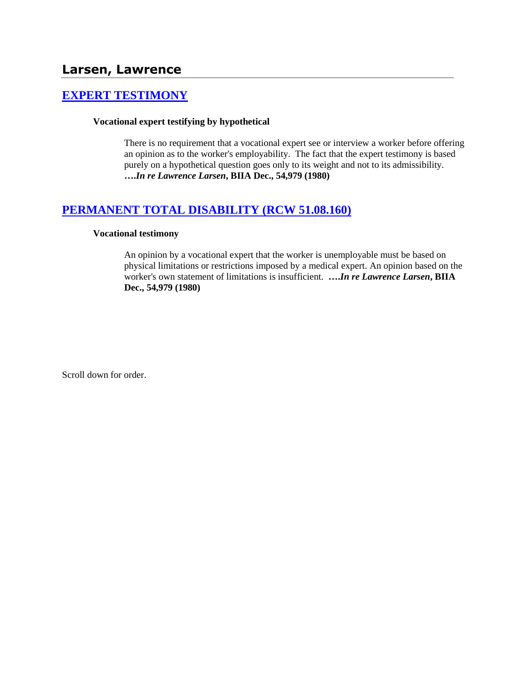# **[EXPERT TESTIMONY](http://www.biia.wa.gov/SDSubjectIndex.html#EXPERT_TESTIMONY)**

### **Vocational expert testifying by hypothetical**

There is no requirement that a vocational expert see or interview a worker before offering an opinion as to the worker's employability. The fact that the expert testimony is based purely on a hypothetical question goes only to its weight and not to its admissibility. **….***In re Lawrence Larsen***, BIIA Dec., 54,979 (1980)** 

## **[PERMANENT TOTAL DISABILITY \(RCW 51.08.160\)](http://www.biia.wa.gov/SDSubjectIndex.html#PERMANENT_TOTAL_DISABILITY)**

### **Vocational testimony**

An opinion by a vocational expert that the worker is unemployable must be based on physical limitations or restrictions imposed by a medical expert. An opinion based on the worker's own statement of limitations is insufficient. **….***In re Lawrence Larsen***, BIIA Dec., 54,979 (1980)** 

Scroll down for order.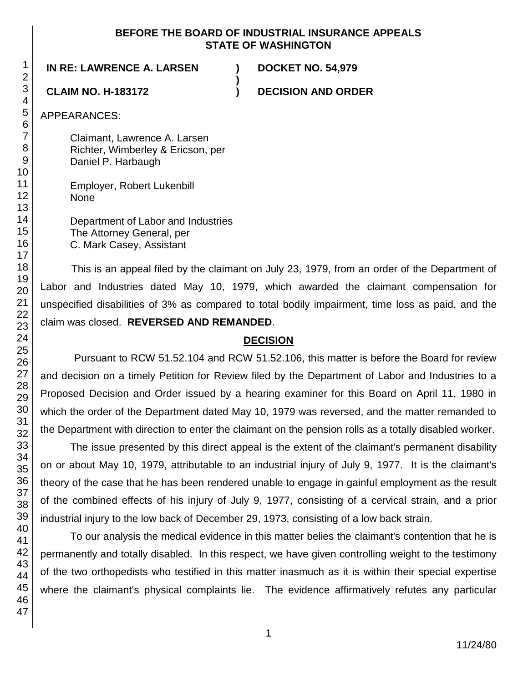### **BEFORE THE BOARD OF INDUSTRIAL INSURANCE APPEALS STATE OF WASHINGTON**

**)**

**IN RE: LAWRENCE A. LARSEN ) DOCKET NO. 54,979**

**CLAIM NO. H-183172 ) DECISION AND ORDER**

APPEARANCES:

Claimant, Lawrence A. Larsen Richter, Wimberley & Ericson, per Daniel P. Harbaugh

Employer, Robert Lukenbill None

Department of Labor and Industries The Attorney General, per C. Mark Casey, Assistant

This is an appeal filed by the claimant on July 23, 1979, from an order of the Department of Labor and Industries dated May 10, 1979, which awarded the claimant compensation for unspecified disabilities of 3% as compared to total bodily impairment, time loss as paid, and the claim was closed. **REVERSED AND REMANDED**.

# **DECISION**

Pursuant to RCW 51.52.104 and RCW 51.52.106, this matter is before the Board for review and decision on a timely Petition for Review filed by the Department of Labor and Industries to a Proposed Decision and Order issued by a hearing examiner for this Board on April 11, 1980 in which the order of the Department dated May 10, 1979 was reversed, and the matter remanded to the Department with direction to enter the claimant on the pension rolls as a totally disabled worker.

The issue presented by this direct appeal is the extent of the claimant's permanent disability on or about May 10, 1979, attributable to an industrial injury of July 9, 1977. It is the claimant's theory of the case that he has been rendered unable to engage in gainful employment as the result of the combined effects of his injury of July 9, 1977, consisting of a cervical strain, and a prior industrial injury to the low back of December 29, 1973, consisting of a low back strain.

To our analysis the medical evidence in this matter belies the claimant's contention that he is permanently and totally disabled. In this respect, we have given controlling weight to the testimony of the two orthopedists who testified in this matter inasmuch as it is within their special expertise where the claimant's physical complaints lie. The evidence affirmatively refutes any particular

1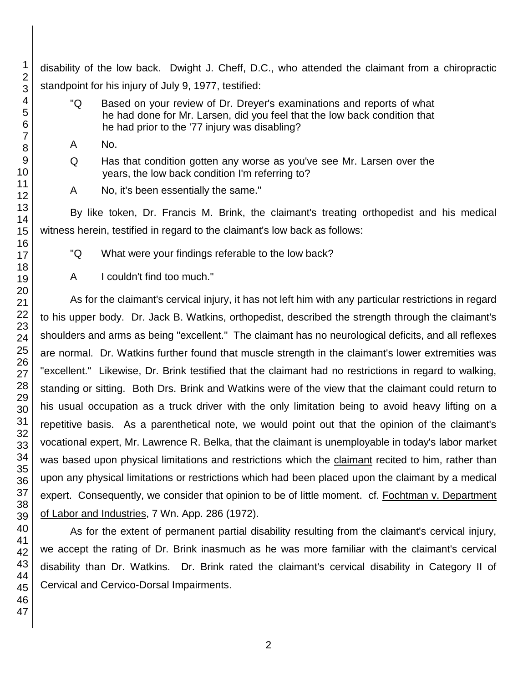disability of the low back. Dwight J. Cheff, D.C., who attended the claimant from a chiropractic standpoint for his injury of July 9, 1977, testified:

- "Q Based on your review of Dr. Dreyer's examinations and reports of what he had done for Mr. Larsen, did you feel that the low back condition that he had prior to the '77 injury was disabling?
- A No.
- Q Has that condition gotten any worse as you've see Mr. Larsen over the years, the low back condition I'm referring to?
- A No, it's been essentially the same."

By like token, Dr. Francis M. Brink, the claimant's treating orthopedist and his medical witness herein, testified in regard to the claimant's low back as follows:

- "Q What were your findings referable to the low back?
- A I couldn't find too much."

As for the claimant's cervical injury, it has not left him with any particular restrictions in regard to his upper body. Dr. Jack B. Watkins, orthopedist, described the strength through the claimant's shoulders and arms as being "excellent." The claimant has no neurological deficits, and all reflexes are normal. Dr. Watkins further found that muscle strength in the claimant's lower extremities was "excellent." Likewise, Dr. Brink testified that the claimant had no restrictions in regard to walking, standing or sitting. Both Drs. Brink and Watkins were of the view that the claimant could return to his usual occupation as a truck driver with the only limitation being to avoid heavy lifting on a repetitive basis. As a parenthetical note, we would point out that the opinion of the claimant's vocational expert, Mr. Lawrence R. Belka, that the claimant is unemployable in today's labor market was based upon physical limitations and restrictions which the claimant recited to him, rather than upon any physical limitations or restrictions which had been placed upon the claimant by a medical expert. Consequently, we consider that opinion to be of little moment. cf. Fochtman v. Department of Labor and Industries, 7 Wn. App. 286 (1972).

As for the extent of permanent partial disability resulting from the claimant's cervical injury, we accept the rating of Dr. Brink inasmuch as he was more familiar with the claimant's cervical disability than Dr. Watkins. Dr. Brink rated the claimant's cervical disability in Category II of Cervical and Cervico-Dorsal Impairments.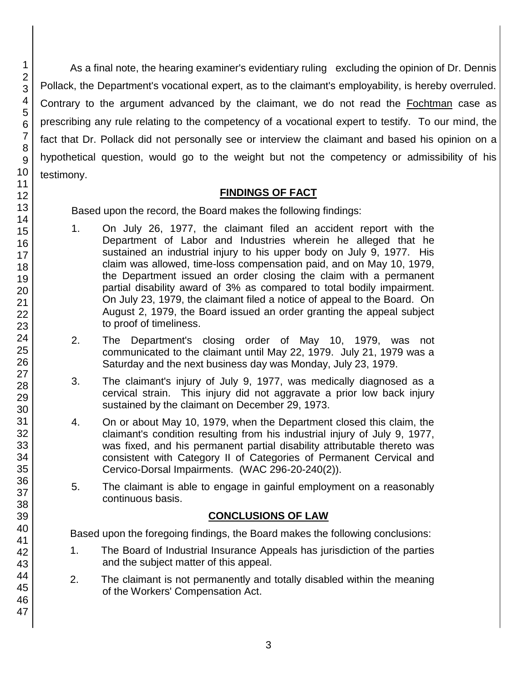As a final note, the hearing examiner's evidentiary ruling excluding the opinion of Dr. Dennis Pollack, the Department's vocational expert, as to the claimant's employability, is hereby overruled. Contrary to the argument advanced by the claimant, we do not read the Fochtman case as prescribing any rule relating to the competency of a vocational expert to testify. To our mind, the fact that Dr. Pollack did not personally see or interview the claimant and based his opinion on a hypothetical question, would go to the weight but not the competency or admissibility of his testimony.

### **FINDINGS OF FACT**

Based upon the record, the Board makes the following findings:

- 1. On July 26, 1977, the claimant filed an accident report with the Department of Labor and Industries wherein he alleged that he sustained an industrial injury to his upper body on July 9, 1977. His claim was allowed, time-loss compensation paid, and on May 10, 1979, the Department issued an order closing the claim with a permanent partial disability award of 3% as compared to total bodily impairment. On July 23, 1979, the claimant filed a notice of appeal to the Board. On August 2, 1979, the Board issued an order granting the appeal subject to proof of timeliness.
- 2. The Department's closing order of May 10, 1979, was not communicated to the claimant until May 22, 1979. July 21, 1979 was a Saturday and the next business day was Monday, July 23, 1979.
- 3. The claimant's injury of July 9, 1977, was medically diagnosed as a cervical strain. This injury did not aggravate a prior low back injury sustained by the claimant on December 29, 1973.
- 4. On or about May 10, 1979, when the Department closed this claim, the claimant's condition resulting from his industrial injury of July 9, 1977, was fixed, and his permanent partial disability attributable thereto was consistent with Category II of Categories of Permanent Cervical and Cervico-Dorsal Impairments. (WAC 296-20-240(2)).
- 5. The claimant is able to engage in gainful employment on a reasonably continuous basis.

# **CONCLUSIONS OF LAW**

Based upon the foregoing findings, the Board makes the following conclusions:

- 1. The Board of Industrial Insurance Appeals has jurisdiction of the parties and the subject matter of this appeal.
- 2. The claimant is not permanently and totally disabled within the meaning of the Workers' Compensation Act.
- 2 3 4 5 6 7 8 9 10 11 12 13 14 15 16 17 18 19 20 21 22 23 24 25 26 27 28 29 30 31 32 33 34 35 36 37 38 39 40 41 42 43 44 45 46 47

1